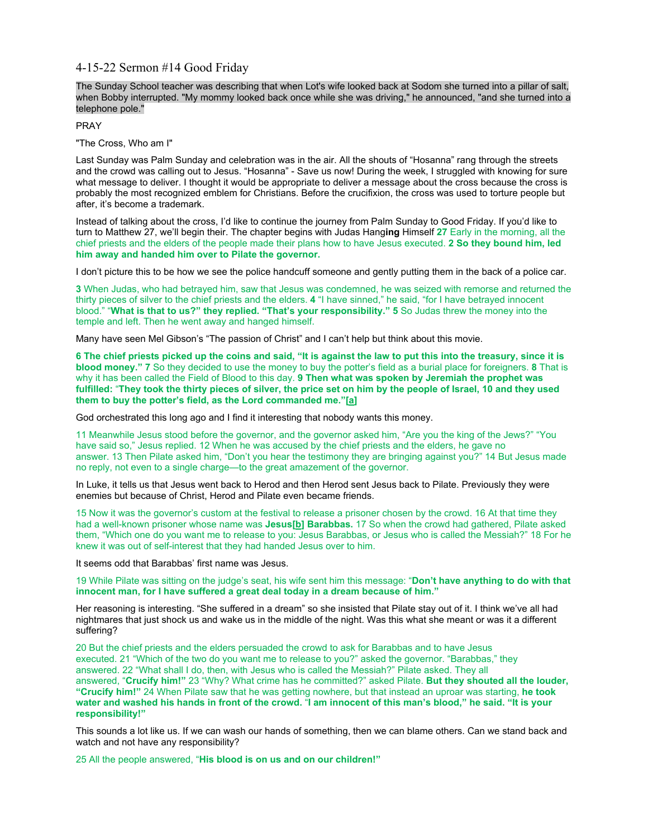# 4-15-22 Sermon #14 Good Friday

The Sunday School teacher was describing that when Lot's wife looked back at Sodom she turned into a pillar of salt, when Bobby interrupted. "My mommy looked back once while she was driving," he announced, "and she turned into a telephone pole."

PRAY

"The Cross, Who am I"

Last Sunday was Palm Sunday and celebration was in the air. All the shouts of "Hosanna" rang through the streets and the crowd was calling out to Jesus. "Hosanna" - Save us now! During the week, I struggled with knowing for sure what message to deliver. I thought it would be appropriate to deliver a message about the cross because the cross is probably the most recognized emblem for Christians. Before the crucifixion, the cross was used to torture people but after, it's become a trademark.

Instead of talking about the cross, I'd like to continue the journey from Palm Sunday to Good Friday. If you'd like to turn to Matthew 27, we'll begin their. The chapter begins with Judas Hang**ing** Himself **27** Early in the morning, all the chief priests and the elders of the people made their plans how to have Jesus executed. **2 So they bound him, led him away and handed him over to Pilate the governor.**

I don't picture this to be how we see the police handcuff someone and gently putting them in the back of a police car.

**3** When Judas, who had betrayed him, saw that Jesus was condemned, he was seized with remorse and returned the thirty pieces of silver to the chief priests and the elders. **4** "I have sinned," he said, "for I have betrayed innocent blood." "**What is that to us?" they replied. "That's your responsibility." 5** So Judas threw the money into the temple and left. Then he went away and hanged himself.

Many have seen Mel Gibson's "The passion of Christ" and I can't help but think about this movie.

**6 The chief priests picked up the coins and said, "It is against the law to put this into the treasury, since it is blood money." 7** So they decided to use the money to buy the potter's field as a burial place for foreigners. **8** That is why it has been called the Field of Blood to this day. **9 Then what was spoken by Jeremiah the prophet was fulfilled:** "**They took the thirty pieces of silver, the price set on him by the people of Israel, 10 and they used them to buy the potter's field, as the Lord commanded me."[[a\]](https://www.biblegateway.com/passage/?search=Matthew+27&version=NIV#fen-NIV-24140a)**

God orchestrated this long ago and I find it interesting that nobody wants this money.

11 Meanwhile Jesus stood before the governor, and the governor asked him, "Are you the king of the Jews?" "You have said so," Jesus replied. 12 When he was accused by the chief priests and the elders, he gave no answer. 13 Then Pilate asked him, "Don't you hear the testimony they are bringing against you?" 14 But Jesus made no reply, not even to a single charge—to the great amazement of the governor.

In Luke, it tells us that Jesus went back to Herod and then Herod sent Jesus back to Pilate. Previously they were enemies but because of Christ, Herod and Pilate even became friends.

15 Now it was the governor's custom at the festival to release a prisoner chosen by the crowd. 16 At that time they had a well-known prisoner whose name was **Jesus[\[b\]](https://www.biblegateway.com/passage/?search=Matthew+27&version=NIV#fen-NIV-24146b) Barabbas.** 17 So when the crowd had gathered, Pilate asked them, "Which one do you want me to release to you: Jesus Barabbas, or Jesus who is called the Messiah?" 18 For he knew it was out of self-interest that they had handed Jesus over to him.

It seems odd that Barabbas' first name was Jesus.

19 While Pilate was sitting on the judge's seat, his wife sent him this message: "**Don't have anything to do with that innocent man, for I have suffered a great deal today in a dream because of him."**

Her reasoning is interesting. "She suffered in a dream" so she insisted that Pilate stay out of it. I think we've all had nightmares that just shock us and wake us in the middle of the night. Was this what she meant or was it a different suffering?

20 But the chief priests and the elders persuaded the crowd to ask for Barabbas and to have Jesus executed. 21 "Which of the two do you want me to release to you?" asked the governor. "Barabbas," they answered. 22 "What shall I do, then, with Jesus who is called the Messiah?" Pilate asked. They all answered, "**Crucify him!"** 23 "Why? What crime has he committed?" asked Pilate. **But they shouted all the louder, "Crucify him!"** 24 When Pilate saw that he was getting nowhere, but that instead an uproar was starting, **he took water and washed his hands in front of the crowd.** "**I am innocent of this man's blood," he said. "It is your responsibility!"**

This sounds a lot like us. If we can wash our hands of something, then we can blame others. Can we stand back and watch and not have any responsibility?

25 All the people answered, "**His blood is on us and on our children!"**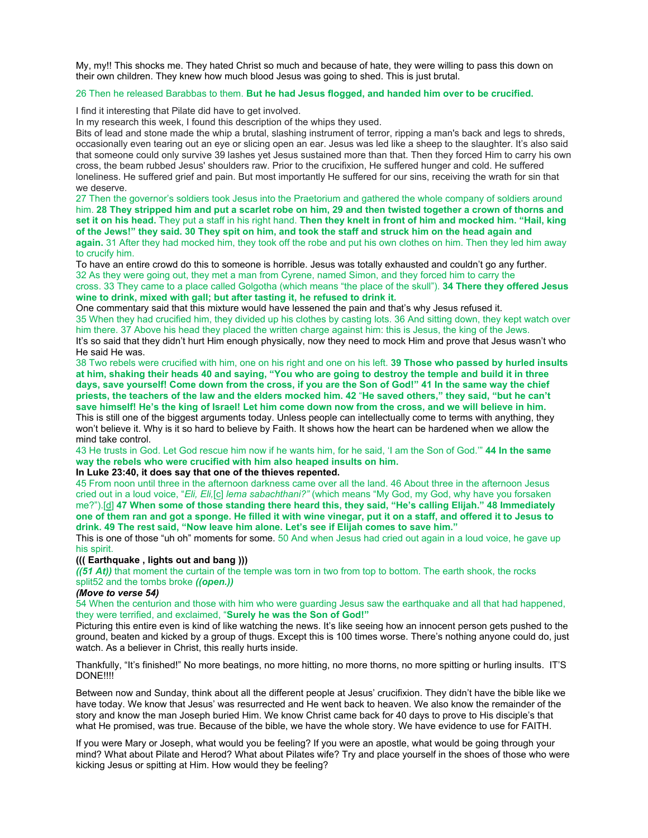My, my!! This shocks me. They hated Christ so much and because of hate, they were willing to pass this down on their own children. They knew how much blood Jesus was going to shed. This is just brutal.

## 26 Then he released Barabbas to them. **But he had Jesus flogged, and handed him over to be crucified.**

I find it interesting that Pilate did have to get involved.

In my research this week, I found this description of the whips they used.

Bits of lead and stone made the whip a brutal, slashing instrument of terror, ripping a man's back and legs to shreds, occasionally even tearing out an eye or slicing open an ear. Jesus was led like a sheep to the slaughter. It's also said that someone could only survive 39 lashes yet Jesus sustained more than that. Then they forced Him to carry his own cross, the beam rubbed Jesus' shoulders raw. Prior to the crucifixion, He suffered hunger and cold. He suffered loneliness. He suffered grief and pain. But most importantly He suffered for our sins, receiving the wrath for sin that we deserve.

27 Then the governor's soldiers took Jesus into the Praetorium and gathered the whole company of soldiers around him. **28 They stripped him and put a scarlet robe on him, 29 and then twisted together a crown of thorns and set it on his head.** They put a staff in his right hand. **Then they knelt in front of him and mocked him. "Hail, king of the Jews!" they said. 30 They spit on him, and took the staff and struck him on the head again and again.** 31 After they had mocked him, they took off the robe and put his own clothes on him. Then they led him away

to crucify him. To have an entire crowd do this to someone is horrible. Jesus was totally exhausted and couldn't go any further. 32 As they were going out, they met a man from Cyrene, named Simon, and they forced him to carry the

cross. 33 They came to a place called Golgotha (which means "the place of the skull"). **34 There they offered Jesus wine to drink, mixed with gall; but after tasting it, he refused to drink it.**

One commentary said that this mixture would have lessened the pain and that's why Jesus refused it.

35 When they had crucified him, they divided up his clothes by casting lots. 36 And sitting down, they kept watch over him there. 37 Above his head they placed the written charge against him: this is Jesus, the king of the Jews. It's so said that they didn't hurt Him enough physically, now they need to mock Him and prove that Jesus wasn't who He said He was.

38 Two rebels were crucified with him, one on his right and one on his left. **39 Those who passed by hurled insults at him, shaking their heads 40 and saying, "You who are going to destroy the temple and build it in three days, save yourself! Come down from the cross, if you are the Son of God!" 41 In the same way the chief priests, the teachers of the law and the elders mocked him. 42** "**He saved others," they said, "but he can't save himself! He's the king of Israel! Let him come down now from the cross, and we will believe in him.** This is still one of the biggest arguments today. Unless people can intellectually come to terms with anything, they won't believe it. Why is it so hard to believe by Faith. It shows how the heart can be hardened when we allow the mind take control.

43 He trusts in God. Let God rescue him now if he wants him, for he said, 'I am the Son of God.'" **44 In the same way the rebels who were crucified with him also heaped insults on him.**

### **In Luke 23:40, it does say that one of the thieves repented.**

45 From noon until three in the afternoon darkness came over all the land. 46 About three in the afternoon Jesus cried out in a loud voice, "*Eli, Eli,*[\[c\]](https://www.biblegateway.com/passage/?search=Matthew+27&version=NIV#fen-NIV-24176c) *lema sabachthani?"* (which means "My God, my God, why have you forsaken me?").[\[d](https://www.biblegateway.com/passage/?search=Matthew+27&version=NIV#fen-NIV-24176d)] **47 When some of those standing there heard this, they said, "He's calling Elijah." 48 Immediately one of them ran and got a sponge. He filled it with wine vinegar, put it on a staff, and offered it to Jesus to drink. 49 The rest said, "Now leave him alone. Let's see if Elijah comes to save him."**

This is one of those "uh oh" moments for some. 50 And when Jesus had cried out again in a loud voice, he gave up his spirit.

## **((( Earthquake , lights out and bang )))**

*((51 At))* that moment the curtain of the temple was torn in two from top to bottom. The earth shook, the rocks split52 and the tombs broke *((open.))*

#### *(Move to verse 54)*

54 When the centurion and those with him who were guarding Jesus saw the earthquake and all that had happened, they were terrified, and exclaimed, "**Surely he was the Son of God!"**

Picturing this entire even is kind of like watching the news. It's like seeing how an innocent person gets pushed to the ground, beaten and kicked by a group of thugs. Except this is 100 times worse. There's nothing anyone could do, just watch. As a believer in Christ, this really hurts inside.

Thankfully, "It's finished!" No more beatings, no more hitting, no more thorns, no more spitting or hurling insults. IT'S DONE!!!!

Between now and Sunday, think about all the different people at Jesus' crucifixion. They didn't have the bible like we have today. We know that Jesus' was resurrected and He went back to heaven. We also know the remainder of the story and know the man Joseph buried Him. We know Christ came back for 40 days to prove to His disciple's that what He promised, was true. Because of the bible, we have the whole story. We have evidence to use for FAITH.

If you were Mary or Joseph, what would you be feeling? If you were an apostle, what would be going through your mind? What about Pilate and Herod? What about Pilates wife? Try and place yourself in the shoes of those who were kicking Jesus or spitting at Him. How would they be feeling?